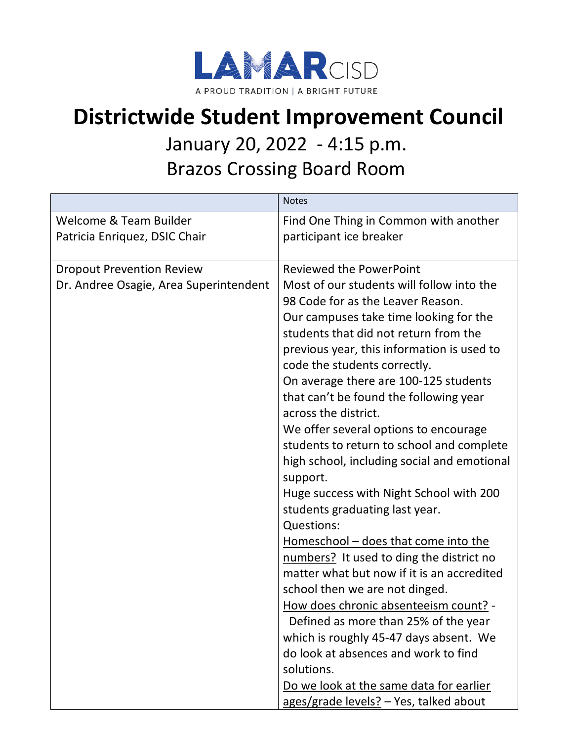

## **Districtwide Student Improvement Council**

## January 20, 2022 - 4:15 p.m.

Brazos Crossing Board Room

|                                        | <b>Notes</b>                                                               |
|----------------------------------------|----------------------------------------------------------------------------|
| Welcome & Team Builder                 | Find One Thing in Common with another                                      |
| Patricia Enriquez, DSIC Chair          | participant ice breaker                                                    |
|                                        |                                                                            |
| <b>Dropout Prevention Review</b>       | <b>Reviewed the PowerPoint</b>                                             |
| Dr. Andree Osagie, Area Superintendent | Most of our students will follow into the                                  |
|                                        | 98 Code for as the Leaver Reason.                                          |
|                                        | Our campuses take time looking for the                                     |
|                                        | students that did not return from the                                      |
|                                        | previous year, this information is used to<br>code the students correctly. |
|                                        | On average there are 100-125 students                                      |
|                                        | that can't be found the following year                                     |
|                                        | across the district.                                                       |
|                                        | We offer several options to encourage                                      |
|                                        | students to return to school and complete                                  |
|                                        | high school, including social and emotional                                |
|                                        | support.                                                                   |
|                                        | Huge success with Night School with 200                                    |
|                                        | students graduating last year.                                             |
|                                        | Questions:                                                                 |
|                                        | Homeschool - does that come into the                                       |
|                                        | numbers? It used to ding the district no                                   |
|                                        | matter what but now if it is an accredited                                 |
|                                        | school then we are not dinged.                                             |
|                                        | How does chronic absenteeism count? -                                      |
|                                        | Defined as more than 25% of the year                                       |
|                                        | which is roughly 45-47 days absent. We                                     |
|                                        | do look at absences and work to find                                       |
|                                        | solutions.                                                                 |
|                                        | Do we look at the same data for earlier                                    |
|                                        | ages/grade levels? - Yes, talked about                                     |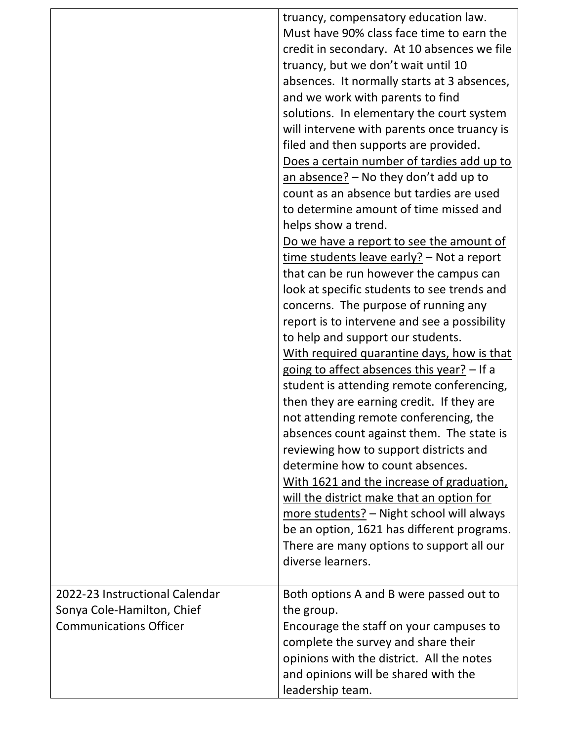|                                | truancy, compensatory education law.         |
|--------------------------------|----------------------------------------------|
|                                | Must have 90% class face time to earn the    |
|                                | credit in secondary. At 10 absences we file  |
|                                | truancy, but we don't wait until 10          |
|                                | absences. It normally starts at 3 absences,  |
|                                | and we work with parents to find             |
|                                | solutions. In elementary the court system    |
|                                | will intervene with parents once truancy is  |
|                                | filed and then supports are provided.        |
|                                | Does a certain number of tardies add up to   |
|                                | an absence? $-$ No they don't add up to      |
|                                | count as an absence but tardies are used     |
|                                | to determine amount of time missed and       |
|                                | helps show a trend.                          |
|                                | Do we have a report to see the amount of     |
|                                | $time$ students leave early? – Not a report  |
|                                | that can be run however the campus can       |
|                                | look at specific students to see trends and  |
|                                | concerns. The purpose of running any         |
|                                | report is to intervene and see a possibility |
|                                | to help and support our students.            |
|                                | With required quarantine days, how is that   |
|                                | going to affect absences this year? - If a   |
|                                | student is attending remote conferencing,    |
|                                | then they are earning credit. If they are    |
|                                | not attending remote conferencing, the       |
|                                | absences count against them. The state is    |
|                                | reviewing how to support districts and       |
|                                | determine how to count absences.             |
|                                | With 1621 and the increase of graduation,    |
|                                | will the district make that an option for    |
|                                | more students? - Night school will always    |
|                                | be an option, 1621 has different programs.   |
|                                | There are many options to support all our    |
|                                | diverse learners.                            |
|                                |                                              |
| 2022-23 Instructional Calendar | Both options A and B were passed out to      |
| Sonya Cole-Hamilton, Chief     | the group.                                   |
| <b>Communications Officer</b>  | Encourage the staff on your campuses to      |
|                                | complete the survey and share their          |
|                                | opinions with the district. All the notes    |
|                                | and opinions will be shared with the         |
|                                | leadership team.                             |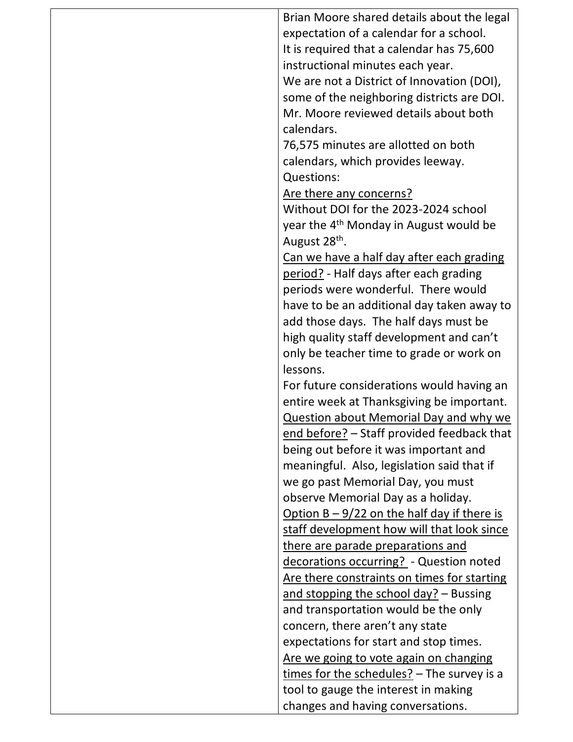| Brian Moore shared details about the legal         |
|----------------------------------------------------|
| expectation of a calendar for a school.            |
| It is required that a calendar has 75,600          |
| instructional minutes each year.                   |
| We are not a District of Innovation (DOI),         |
| some of the neighboring districts are DOI.         |
| Mr. Moore reviewed details about both              |
| calendars.                                         |
| 76,575 minutes are allotted on both                |
| calendars, which provides leeway.                  |
| Questions:                                         |
| Are there any concerns?                            |
| Without DOI for the 2023-2024 school               |
| year the 4 <sup>th</sup> Monday in August would be |
| August 28 <sup>th</sup> .                          |
| Can we have a half day after each grading          |
| period? - Half days after each grading             |
| periods were wonderful. There would                |
| have to be an additional day taken away to         |
| add those days. The half days must be              |
| high quality staff development and can't           |
| only be teacher time to grade or work on           |
| lessons.                                           |
| For future considerations would having an          |
| entire week at Thanksgiving be important.          |
| <b>Question about Memorial Day and why we</b>      |
| end before? - Staff provided feedback that         |
| being out before it was important and              |
| meaningful. Also, legislation said that if         |
| we go past Memorial Day, you must                  |
| observe Memorial Day as a holiday.                 |
| Option $B - 9/22$ on the half day if there is      |
| staff development how will that look since         |
| there are parade preparations and                  |
| decorations occurring? - Question noted            |
| Are there constraints on times for starting        |
| and stopping the school day? - Bussing             |
| and transportation would be the only               |
| concern, there aren't any state                    |
| expectations for start and stop times.             |
| Are we going to vote again on changing             |
| $times$ for the schedules? - The survey is a       |
| tool to gauge the interest in making               |
| changes and having conversations.                  |